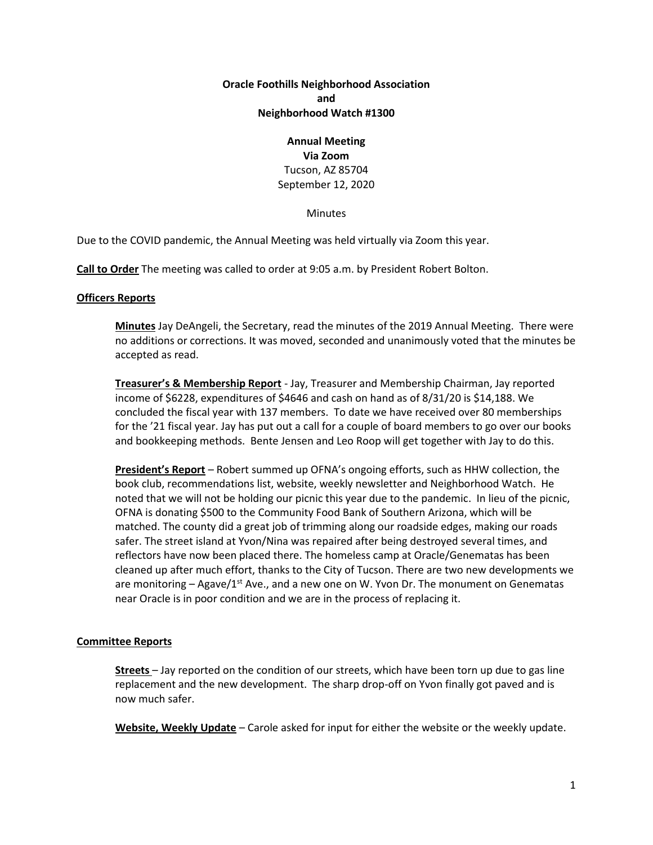# **Oracle Foothills Neighborhood Association and Neighborhood Watch #1300**

### **Annual Meeting Via Zoom**

Tucson, AZ 85704 September 12, 2020

**Minutes** 

Due to the COVID pandemic, the Annual Meeting was held virtually via Zoom this year.

**Call to Order** The meeting was called to order at 9:05 a.m. by President Robert Bolton.

# **Officers Reports**

**Minutes** Jay DeAngeli, the Secretary, read the minutes of the 2019 Annual Meeting. There were no additions or corrections. It was moved, seconded and unanimously voted that the minutes be accepted as read.

**Treasurer's & Membership Report** - Jay, Treasurer and Membership Chairman, Jay reported income of \$6228, expenditures of \$4646 and cash on hand as of 8/31/20 is \$14,188. We concluded the fiscal year with 137 members. To date we have received over 80 memberships for the '21 fiscal year. Jay has put out a call for a couple of board members to go over our books and bookkeeping methods. Bente Jensen and Leo Roop will get together with Jay to do this.

**President's Report** – Robert summed up OFNA's ongoing efforts, such as HHW collection, the book club, recommendations list, website, weekly newsletter and Neighborhood Watch. He noted that we will not be holding our picnic this year due to the pandemic. In lieu of the picnic, OFNA is donating \$500 to the Community Food Bank of Southern Arizona, which will be matched. The county did a great job of trimming along our roadside edges, making our roads safer. The street island at Yvon/Nina was repaired after being destroyed several times, and reflectors have now been placed there. The homeless camp at Oracle/Genematas has been cleaned up after much effort, thanks to the City of Tucson. There are two new developments we are monitoring – Agave/1<sup>st</sup> Ave., and a new one on W. Yvon Dr. The monument on Genematas near Oracle is in poor condition and we are in the process of replacing it.

## **Committee Reports**

**Streets** – Jay reported on the condition of our streets, which have been torn up due to gas line replacement and the new development. The sharp drop-off on Yvon finally got paved and is now much safer.

**Website, Weekly Update** – Carole asked for input for either the website or the weekly update.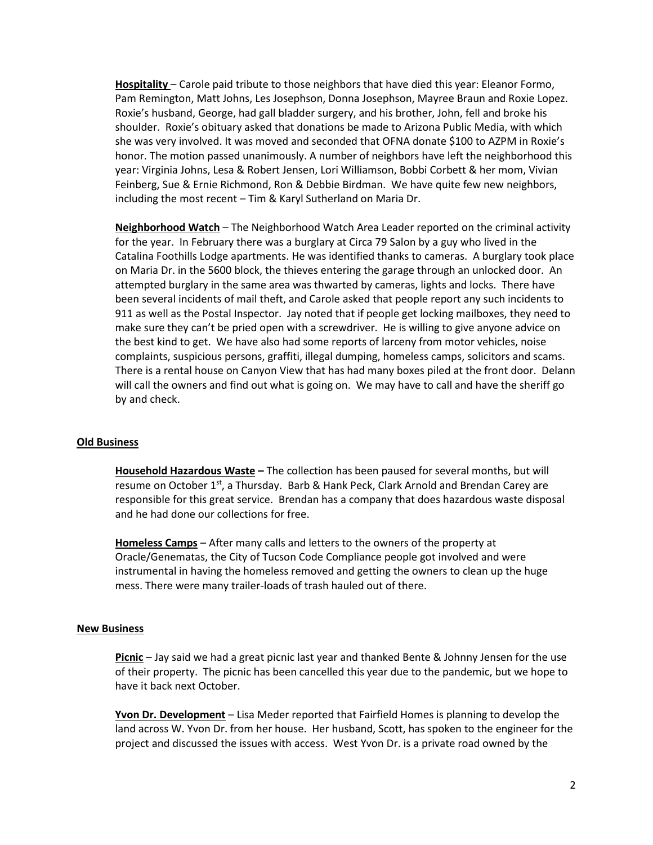**Hospitality** – Carole paid tribute to those neighbors that have died this year: Eleanor Formo, Pam Remington, Matt Johns, Les Josephson, Donna Josephson, Mayree Braun and Roxie Lopez. Roxie's husband, George, had gall bladder surgery, and his brother, John, fell and broke his shoulder. Roxie's obituary asked that donations be made to Arizona Public Media, with which she was very involved. It was moved and seconded that OFNA donate \$100 to AZPM in Roxie's honor. The motion passed unanimously. A number of neighbors have left the neighborhood this year: Virginia Johns, Lesa & Robert Jensen, Lori Williamson, Bobbi Corbett & her mom, Vivian Feinberg, Sue & Ernie Richmond, Ron & Debbie Birdman. We have quite few new neighbors, including the most recent – Tim & Karyl Sutherland on Maria Dr.

**Neighborhood Watch** – The Neighborhood Watch Area Leader reported on the criminal activity for the year. In February there was a burglary at Circa 79 Salon by a guy who lived in the Catalina Foothills Lodge apartments. He was identified thanks to cameras. A burglary took place on Maria Dr. in the 5600 block, the thieves entering the garage through an unlocked door. An attempted burglary in the same area was thwarted by cameras, lights and locks. There have been several incidents of mail theft, and Carole asked that people report any such incidents to 911 as well as the Postal Inspector. Jay noted that if people get locking mailboxes, they need to make sure they can't be pried open with a screwdriver. He is willing to give anyone advice on the best kind to get. We have also had some reports of larceny from motor vehicles, noise complaints, suspicious persons, graffiti, illegal dumping, homeless camps, solicitors and scams. There is a rental house on Canyon View that has had many boxes piled at the front door. Delann will call the owners and find out what is going on. We may have to call and have the sheriff go by and check.

### **Old Business**

**Household Hazardous Waste –** The collection has been paused for several months, but will resume on October 1<sup>st</sup>, a Thursday. Barb & Hank Peck, Clark Arnold and Brendan Carey are responsible for this great service. Brendan has a company that does hazardous waste disposal and he had done our collections for free.

**Homeless Camps** – After many calls and letters to the owners of the property at Oracle/Genematas, the City of Tucson Code Compliance people got involved and were instrumental in having the homeless removed and getting the owners to clean up the huge mess. There were many trailer-loads of trash hauled out of there.

### **New Business**

**Picnic** – Jay said we had a great picnic last year and thanked Bente & Johnny Jensen for the use of their property. The picnic has been cancelled this year due to the pandemic, but we hope to have it back next October.

**Yvon Dr. Development** – Lisa Meder reported that Fairfield Homes is planning to develop the land across W. Yvon Dr. from her house. Her husband, Scott, has spoken to the engineer for the project and discussed the issues with access. West Yvon Dr. is a private road owned by the